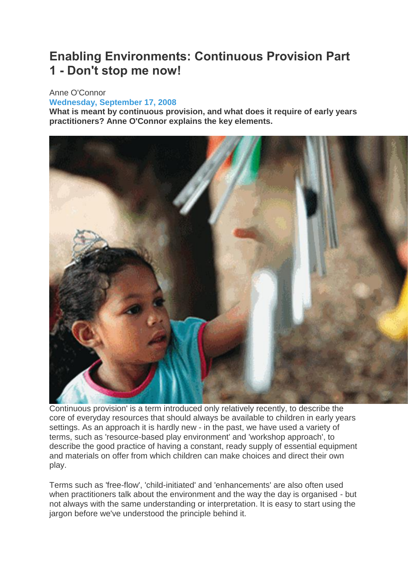# **Enabling Environments: Continuous Provision Part 1 - Don't stop me now!**

# Anne O'Connor

# **Wednesday, September 17, 2008**

**What is meant by continuous provision, and what does it require of early years practitioners? Anne O'Connor explains the key elements.**



Continuous provision' is a term introduced only relatively recently, to describe the core of everyday resources that should always be available to children in early years settings. As an approach it is hardly new - in the past, we have used a variety of terms, such as 'resource-based play environment' and 'workshop approach', to describe the good practice of having a constant, ready supply of essential equipment and materials on offer from which children can make choices and direct their own play.

Terms such as 'free-flow', 'child-initiated' and 'enhancements' are also often used when practitioners talk about the environment and the way the day is organised - but not always with the same understanding or interpretation. It is easy to start using the jargon before we've understood the principle behind it.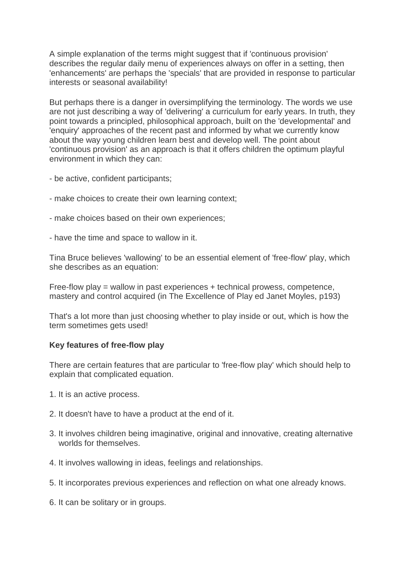A simple explanation of the terms might suggest that if 'continuous provision' describes the regular daily menu of experiences always on offer in a setting, then 'enhancements' are perhaps the 'specials' that are provided in response to particular interests or seasonal availability!

But perhaps there is a danger in oversimplifying the terminology. The words we use are not just describing a way of 'delivering' a curriculum for early years. In truth, they point towards a principled, philosophical approach, built on the 'developmental' and 'enquiry' approaches of the recent past and informed by what we currently know about the way young children learn best and develop well. The point about 'continuous provision' as an approach is that it offers children the optimum playful environment in which they can:

- be active, confident participants;
- make choices to create their own learning context;
- make choices based on their own experiences;
- have the time and space to wallow in it.

Tina Bruce believes 'wallowing' to be an essential element of 'free-flow' play, which she describes as an equation:

Free-flow play = wallow in past experiences + technical prowess, competence, mastery and control acquired (in The Excellence of Play ed Janet Moyles, p193)

That's a lot more than just choosing whether to play inside or out, which is how the term sometimes gets used!

## **Key features of free-flow play**

There are certain features that are particular to 'free-flow play' which should help to explain that complicated equation.

- 1. It is an active process.
- 2. It doesn't have to have a product at the end of it.
- 3. It involves children being imaginative, original and innovative, creating alternative worlds for themselves.
- 4. It involves wallowing in ideas, feelings and relationships.
- 5. It incorporates previous experiences and reflection on what one already knows.
- 6. It can be solitary or in groups.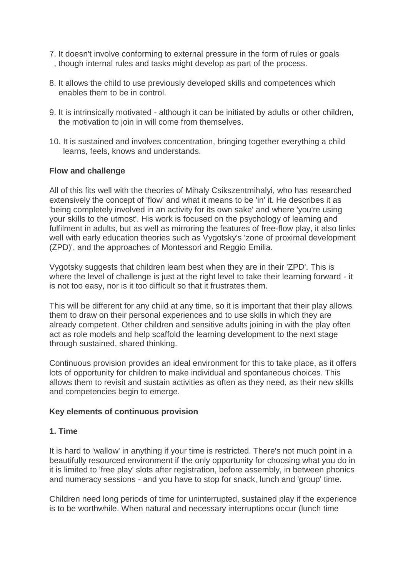- 7. It doesn't involve conforming to external pressure in the form of rules or goals , though internal rules and tasks might develop as part of the process.
- 8. It allows the child to use previously developed skills and competences which enables them to be in control.
- 9. It is intrinsically motivated although it can be initiated by adults or other children, the motivation to join in will come from themselves.
- 10. It is sustained and involves concentration, bringing together everything a child learns, feels, knows and understands.

## **Flow and challenge**

All of this fits well with the theories of Mihaly Csikszentmihalyi, who has researched extensively the concept of 'flow' and what it means to be 'in' it. He describes it as 'being completely involved in an activity for its own sake' and where 'you're using your skills to the utmost'. His work is focused on the psychology of learning and fulfilment in adults, but as well as mirroring the features of free-flow play, it also links well with early education theories such as Vygotsky's 'zone of proximal development (ZPD)', and the approaches of Montessori and Reggio Emilia.

Vygotsky suggests that children learn best when they are in their 'ZPD'. This is where the level of challenge is just at the right level to take their learning forward - it is not too easy, nor is it too difficult so that it frustrates them.

This will be different for any child at any time, so it is important that their play allows them to draw on their personal experiences and to use skills in which they are already competent. Other children and sensitive adults joining in with the play often act as role models and help scaffold the learning development to the next stage through sustained, shared thinking.

Continuous provision provides an ideal environment for this to take place, as it offers lots of opportunity for children to make individual and spontaneous choices. This allows them to revisit and sustain activities as often as they need, as their new skills and competencies begin to emerge.

## **Key elements of continuous provision**

# **1. Time**

It is hard to 'wallow' in anything if your time is restricted. There's not much point in a beautifully resourced environment if the only opportunity for choosing what you do in it is limited to 'free play' slots after registration, before assembly, in between phonics and numeracy sessions - and you have to stop for snack, lunch and 'group' time.

Children need long periods of time for uninterrupted, sustained play if the experience is to be worthwhile. When natural and necessary interruptions occur (lunch time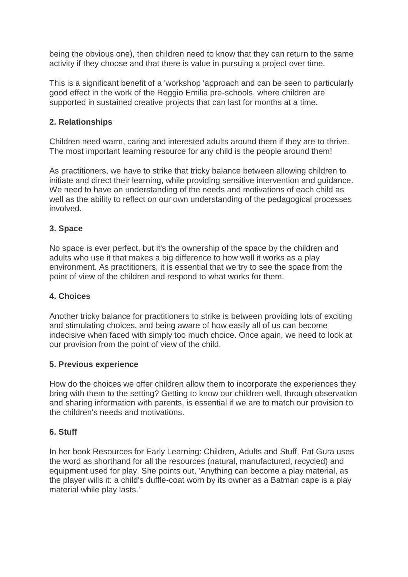being the obvious one), then children need to know that they can return to the same activity if they choose and that there is value in pursuing a project over time.

This is a significant benefit of a 'workshop 'approach and can be seen to particularly good effect in the work of the Reggio Emilia pre-schools, where children are supported in sustained creative projects that can last for months at a time.

# **2. Relationships**

Children need warm, caring and interested adults around them if they are to thrive. The most important learning resource for any child is the people around them!

As practitioners, we have to strike that tricky balance between allowing children to initiate and direct their learning, while providing sensitive intervention and guidance. We need to have an understanding of the needs and motivations of each child as well as the ability to reflect on our own understanding of the pedagogical processes involved.

# **3. Space**

No space is ever perfect, but it's the ownership of the space by the children and adults who use it that makes a big difference to how well it works as a play environment. As practitioners, it is essential that we try to see the space from the point of view of the children and respond to what works for them.

## **4. Choices**

Another tricky balance for practitioners to strike is between providing lots of exciting and stimulating choices, and being aware of how easily all of us can become indecisive when faced with simply too much choice. Once again, we need to look at our provision from the point of view of the child.

## **5. Previous experience**

How do the choices we offer children allow them to incorporate the experiences they bring with them to the setting? Getting to know our children well, through observation and sharing information with parents, is essential if we are to match our provision to the children's needs and motivations.

## **6. Stuff**

In her book Resources for Early Learning: Children, Adults and Stuff, Pat Gura uses the word as shorthand for all the resources (natural, manufactured, recycled) and equipment used for play. She points out, 'Anything can become a play material, as the player wills it: a child's duffle-coat worn by its owner as a Batman cape is a play material while play lasts.'